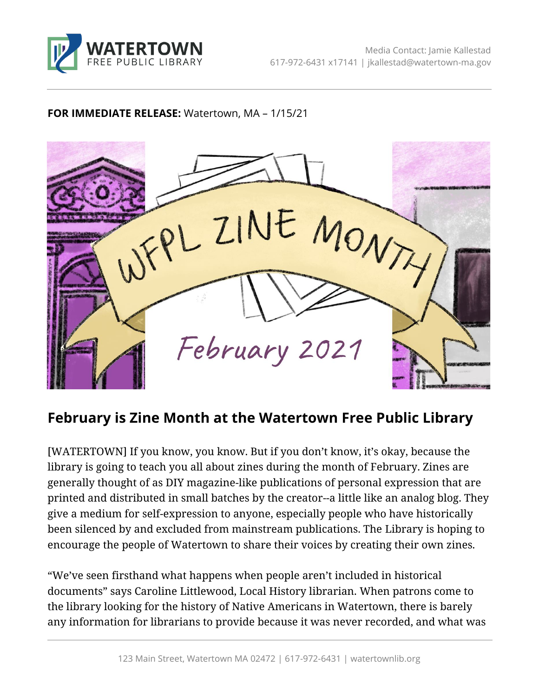

## **FOR IMMEDIATE RELEASE:** Watertown, MA – 1/15/21



## **February is Zine Month at the Watertown Free Public Library**

[WATERTOWN] If you know, you know. But if you don't know, it's okay, because the library is going to teach you all about zines during the month of February. Zines are generally thought of as DIY magazine-like publications of personal expression that are printed and distributed in small batches by the creator--a little like an analog blog. They give a medium for self-expression to anyone, especially people who have historically been silenced by and excluded from mainstream publications. The Library is hoping to encourage the people of Watertown to share their voices by creating their own zines.

"We've seen firsthand what happens when people aren't included in historical documents" says Caroline Littlewood, Local History librarian. When patrons come to the library looking for the history of Native Americans in Watertown, there is barely any information for librarians to provide because it was never recorded, and what was